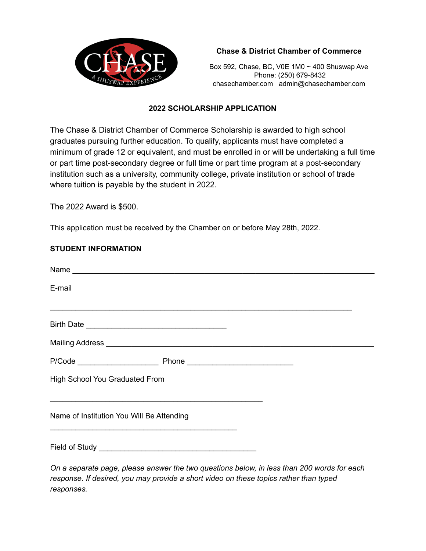

# **Chase & District Chamber of Commerce**

Box 592, Chase, BC, V0E 1M0 ~ 400 Shuswap Ave Phone: (250) 679-8432 chasechamber.com admin@chasechamber.com

#### **2022 SCHOLARSHIP APPLICATION**

The Chase & District Chamber of Commerce Scholarship is awarded to high school graduates pursuing further education. To qualify, applicants must have completed a minimum of grade 12 or equivalent, and must be enrolled in or will be undertaking a full time or part time post-secondary degree or full time or part time program at a post-secondary institution such as a university, community college, private institution or school of trade where tuition is payable by the student in 2022.

The 2022 Award is \$500.

This application must be received by the Chamber on or before May 28th, 2022.

### **STUDENT INFORMATION**

| Name                                                                                       |
|--------------------------------------------------------------------------------------------|
| E-mail                                                                                     |
|                                                                                            |
|                                                                                            |
|                                                                                            |
|                                                                                            |
| High School You Graduated From                                                             |
|                                                                                            |
| Name of Institution You Will Be Attending                                                  |
|                                                                                            |
| On a separate page, please answer the two questions below, in less than 200 words for each |

*response. If desired, you may provide a short video on these topics rather than typed responses.*